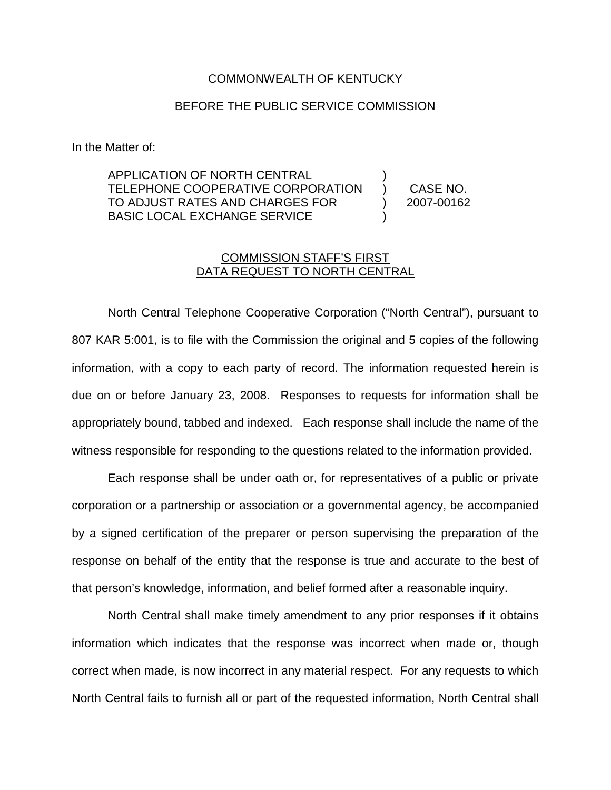## COMMONWEALTH OF KENTUCKY

## BEFORE THE PUBLIC SERVICE COMMISSION

In the Matter of:

APPLICATION OF NORTH CENTRAL TELEPHONE COOPERATIVE CORPORATION TO ADJUST RATES AND CHARGES FOR BASIC LOCAL EXCHANGE SERVICE ) ) CASE NO. ) 2007-00162 )

## COMMISSION STAFF'S FIRST DATA REQUEST TO NORTH CENTRAL

North Central Telephone Cooperative Corporation ("North Central"), pursuant to 807 KAR 5:001, is to file with the Commission the original and 5 copies of the following information, with a copy to each party of record. The information requested herein is due on or before January 23, 2008. Responses to requests for information shall be appropriately bound, tabbed and indexed. Each response shall include the name of the witness responsible for responding to the questions related to the information provided.

Each response shall be under oath or, for representatives of a public or private corporation or a partnership or association or a governmental agency, be accompanied by a signed certification of the preparer or person supervising the preparation of the response on behalf of the entity that the response is true and accurate to the best of that person's knowledge, information, and belief formed after a reasonable inquiry.

North Central shall make timely amendment to any prior responses if it obtains information which indicates that the response was incorrect when made or, though correct when made, is now incorrect in any material respect. For any requests to which North Central fails to furnish all or part of the requested information, North Central shall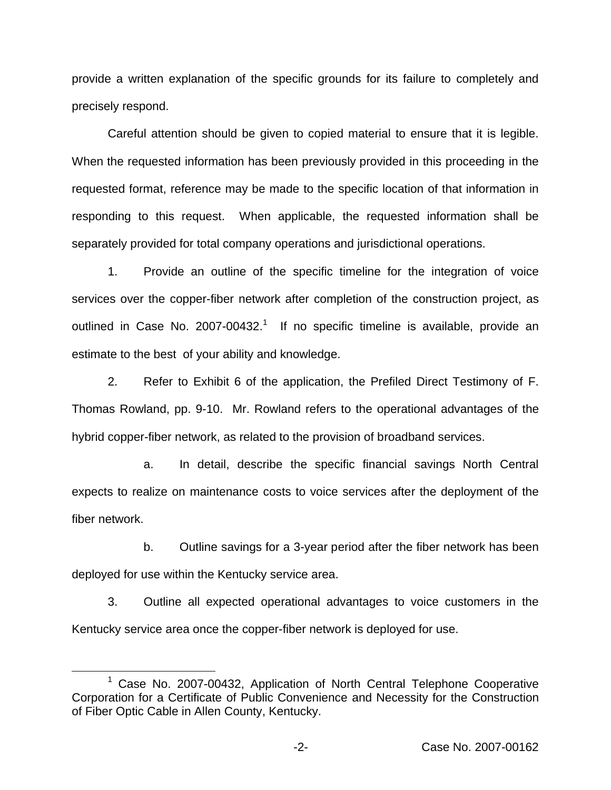provide a written explanation of the specific grounds for its failure to completely and precisely respond.

Careful attention should be given to copied material to ensure that it is legible. When the requested information has been previously provided in this proceeding in the requested format, reference may be made to the specific location of that information in responding to this request. When applicable, the requested information shall be separately provided for total company operations and jurisdictional operations.

1. Provide an outline of the specific timeline for the integration of voice services over the copper-fiber network after completion of the construction project, as outlined in Case No.  $2007-00432$ .<sup>1</sup> If no specific timeline is available, provide an estimate to the best of your ability and knowledge.

2. Refer to Exhibit 6 of the application, the Prefiled Direct Testimony of F. Thomas Rowland, pp. 9-10. Mr. Rowland refers to the operational advantages of the hybrid copper-fiber network, as related to the provision of broadband services.

a. In detail, describe the specific financial savings North Central expects to realize on maintenance costs to voice services after the deployment of the fiber network.

b. Outline savings for a 3-year period after the fiber network has been deployed for use within the Kentucky service area.

3. Outline all expected operational advantages to voice customers in the Kentucky service area once the copper-fiber network is deployed for use.

<sup>1</sup> Case No. 2007-00432, Application of North Central Telephone Cooperative Corporation for a Certificate of Public Convenience and Necessity for the Construction of Fiber Optic Cable in Allen County, Kentucky.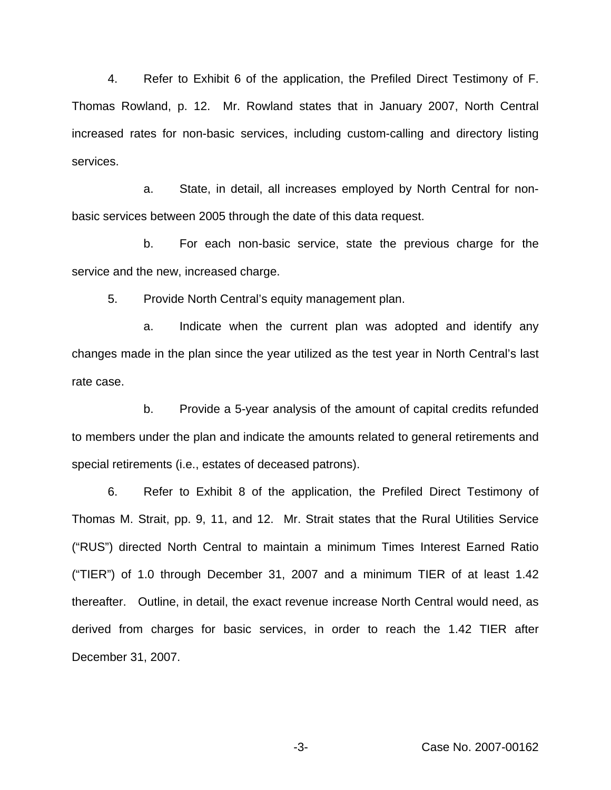4. Refer to Exhibit 6 of the application, the Prefiled Direct Testimony of F. Thomas Rowland, p. 12. Mr. Rowland states that in January 2007, North Central increased rates for non-basic services, including custom-calling and directory listing services.

a. State, in detail, all increases employed by North Central for nonbasic services between 2005 through the date of this data request.

b. For each non-basic service, state the previous charge for the service and the new, increased charge.

5. Provide North Central's equity management plan.

a. Indicate when the current plan was adopted and identify any changes made in the plan since the year utilized as the test year in North Central's last rate case.

b. Provide a 5-year analysis of the amount of capital credits refunded to members under the plan and indicate the amounts related to general retirements and special retirements (i.e., estates of deceased patrons).

6. Refer to Exhibit 8 of the application, the Prefiled Direct Testimony of Thomas M. Strait, pp. 9, 11, and 12. Mr. Strait states that the Rural Utilities Service ("RUS") directed North Central to maintain a minimum Times Interest Earned Ratio ("TIER") of 1.0 through December 31, 2007 and a minimum TIER of at least 1.42 thereafter. Outline, in detail, the exact revenue increase North Central would need, as derived from charges for basic services, in order to reach the 1.42 TIER after December 31, 2007.

-3- Case No. 2007-00162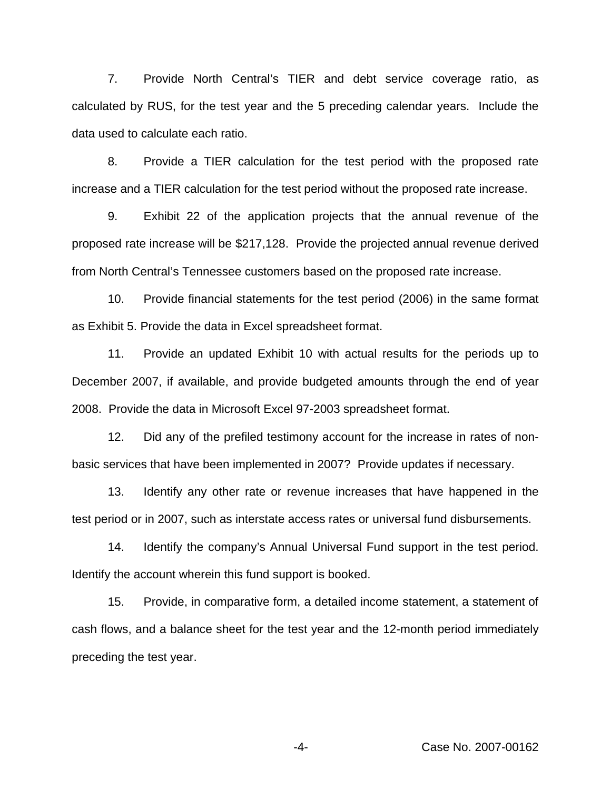7. Provide North Central's TIER and debt service coverage ratio, as calculated by RUS, for the test year and the 5 preceding calendar years. Include the data used to calculate each ratio.

8. Provide a TIER calculation for the test period with the proposed rate increase and a TIER calculation for the test period without the proposed rate increase.

9. Exhibit 22 of the application projects that the annual revenue of the proposed rate increase will be \$217,128. Provide the projected annual revenue derived from North Central's Tennessee customers based on the proposed rate increase.

10. Provide financial statements for the test period (2006) in the same format as Exhibit 5. Provide the data in Excel spreadsheet format.

11. Provide an updated Exhibit 10 with actual results for the periods up to December 2007, if available, and provide budgeted amounts through the end of year 2008. Provide the data in Microsoft Excel 97-2003 spreadsheet format.

12. Did any of the prefiled testimony account for the increase in rates of nonbasic services that have been implemented in 2007? Provide updates if necessary.

13. Identify any other rate or revenue increases that have happened in the test period or in 2007, such as interstate access rates or universal fund disbursements.

14. Identify the company's Annual Universal Fund support in the test period. Identify the account wherein this fund support is booked.

15. Provide, in comparative form, a detailed income statement, a statement of cash flows, and a balance sheet for the test year and the 12-month period immediately preceding the test year.

-4- Case No. 2007-00162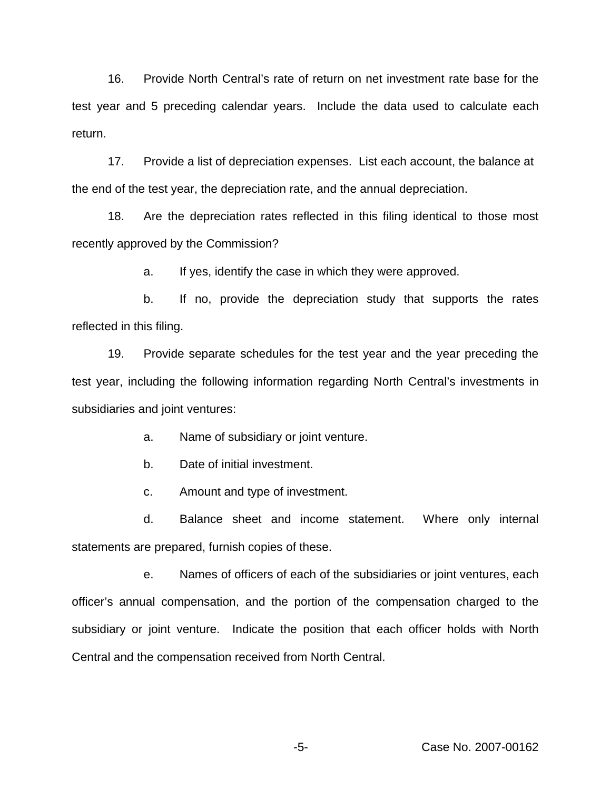16. Provide North Central's rate of return on net investment rate base for the test year and 5 preceding calendar years. Include the data used to calculate each return.

17. Provide a list of depreciation expenses. List each account, the balance at the end of the test year, the depreciation rate, and the annual depreciation.

18. Are the depreciation rates reflected in this filing identical to those most recently approved by the Commission?

a. If yes, identify the case in which they were approved.

b. If no, provide the depreciation study that supports the rates reflected in this filing.

19. Provide separate schedules for the test year and the year preceding the test year, including the following information regarding North Central's investments in subsidiaries and joint ventures:

a. Name of subsidiary or joint venture.

b. Date of initial investment.

c. Amount and type of investment.

d. Balance sheet and income statement. Where only internal statements are prepared, furnish copies of these.

e. Names of officers of each of the subsidiaries or joint ventures, each officer's annual compensation, and the portion of the compensation charged to the subsidiary or joint venture. Indicate the position that each officer holds with North Central and the compensation received from North Central.